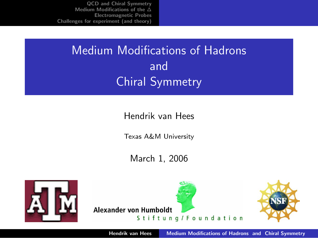# Medium Modifications of Hadrons and Chiral Symmetry

#### Hendrik van Hees

Texas A&M University

March 1, 2006





<span id="page-0-0"></span>

Hendrik van Hees [Medium Modifications of Hadrons and Chiral Symmetry](#page-42-0)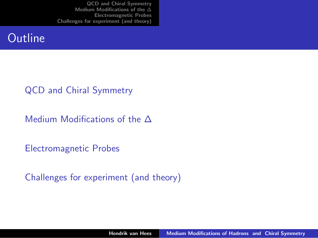#### **Outline**

#### [QCD and Chiral Symmetry](#page-2-0)

[Medium Modifications of the ∆](#page-8-0)

[Electromagnetic Probes](#page-17-0)

[Challenges for experiment \(and theory\)](#page-38-0)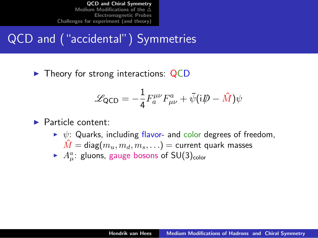## QCD and ("accidental") Symmetries

 $\triangleright$  Theory for strong interactions: QCD

<span id="page-2-0"></span>
$$
\mathscr{L}_{\text{QCD}} = -\frac{1}{4} F_a^{\mu\nu} F_{\mu\nu}^a + \bar{\psi} (i\rlap{\,/}D - \hat{M}) \psi
$$

#### $\blacktriangleright$  Particle content:

- $\blacktriangleright \psi$ : Quarks, including flavor- and color degrees of freedom,  $\tilde{M} = \text{diag}(m_u, m_d, m_s, \ldots) = \text{current quark masses}$
- $\blacktriangleright$   $A^a_\mu$ : gluons, gauge bosons of SU(3)<sub>color</sub>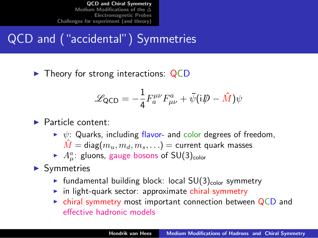# QCD and ("accidental") Symmetries

 $\triangleright$  Theory for strong interactions: QCD

$$
\mathscr{L}_{\text{QCD}} = -\frac{1}{4} F_a^{\mu\nu} F_{\mu\nu}^a + \bar{\psi} (i\rlap{\,/}D - \hat{M}) \psi
$$

#### $\blacktriangleright$  Particle content:

- $\triangleright \psi$ : Quarks, including flavor- and color degrees of freedom,  $\hat{M} = \text{diag}(m_u, m_d, m_s, \ldots) = \text{current quark masses}$
- $\blacktriangleright$   $A^a_\mu$ : gluons, gauge bosons of SU(3)<sub>color</sub>
- $\blacktriangleright$  Symmetries
	- **F** fundamental building block: local  $SU(3)_{\text{color}}$  symmetry
	- $\blacktriangleright$  in light-quark sector: approximate chiral symmetry
	- $\triangleright$  chiral symmetry most important connection between QCD and effective hadronic models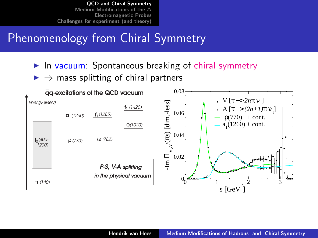## Phenomenology from Chiral Symmetry

- $\blacktriangleright$  In vacuum: Spontaneous breaking of chiral symmetry
- $\Rightarrow$  mass splitting of chiral partners

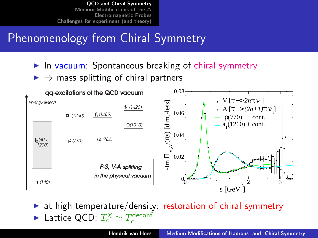# Phenomenology from Chiral Symmetry

- $\blacktriangleright$  In vacuum: Spontaneous breaking of chiral symmetry
- $\Rightarrow$  mass splitting of chiral partners



at high temperature/density: restoration of chiral symmetry ► Lattice QCD:  $T_c^{\chi} \simeq T_c^{\text{deconf}}$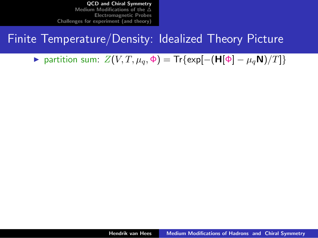### Finite Temperature/Density: Idealized Theory Picture

 $\triangleright$  partition sum:  $Z(V, T, \mu_q, \Phi) = \text{Tr}\{\exp[-(\mathbf{H}[\Phi] - \mu_q \mathbf{N})/T]\}$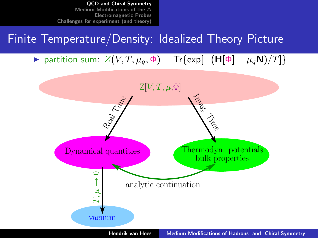#### Finite Temperature/Density: Idealized Theory Picture

 $\triangleright$  partition sum:  $Z(V, T, \mu_a, \Phi) = \text{Tr}\{\exp[-(\mathbf{H}[\Phi] - \mu_a \mathbf{N})/T]\}$ 



Hendrik van Hees [Medium Modifications of Hadrons and Chiral Symmetry](#page-0-0)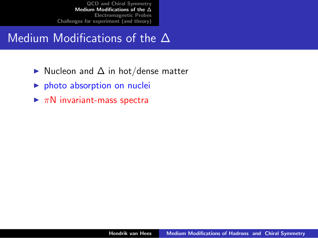## Medium Modifications of the ∆

- ▶ Nucleon and  $\Delta$  in hot/dense matter
- $\blacktriangleright$  photo absorption on nuclei
- <span id="page-8-0"></span> $\blacktriangleright \pi N$  invariant-mass spectra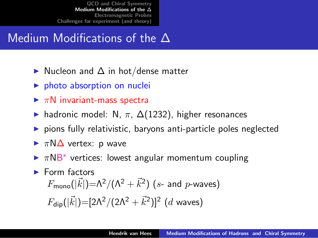## Medium Modifications of the  $\Delta$

- $\triangleright$  Nucleon and  $\Delta$  in hot/dense matter
- $\triangleright$  photo absorption on nuclei
- $\blacktriangleright \pi N$  invariant-mass spectra
- $\triangleright$  hadronic model: N, π,  $\Delta(1232)$ , higher resonances
- $\triangleright$  pions fully relativistic, baryons anti-particle poles neglected
- $\blacktriangleright \pi N\Delta$  vertex: p wave
- $\triangleright$   $\pi$ NB<sup>\*</sup> vertices: lowest angular momentum coupling
- $\blacktriangleright$  Form factors  $F_{\mathsf{mono}}(|\vec{k}|){=}\mathsf{\Lambda}^2/(\mathsf{\Lambda}^2+\vec{k}^2)$  (s- and  $p\textrm{-}\mathsf{waves})$  $F_{\sf dip}(|\vec{k}|){=}[2{\sf A}^2/(2{\sf A}^2+\vec{k}^2)]^2$  (d waves)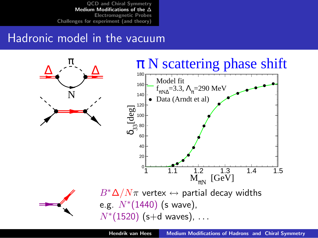#### Hadronic model in the vacuum

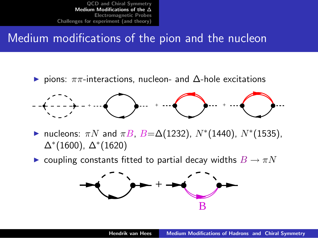### Medium modifications of the pion and the nucleon

 $\triangleright$  pions:  $\pi\pi$ -interactions, nucleon- and  $\Delta$ -hole excitations



- ► nucleons:  $\pi N$  and  $\pi B$ ,  $B = \Delta(1232)$ ,  $N^*(1440)$ ,  $N^*(1535)$ ,  $\Delta^*(1600)$ ,  $\Delta^*(1620)$
- $\blacktriangleright$  coupling constants fitted to partial decay widths  $B \to \pi N$

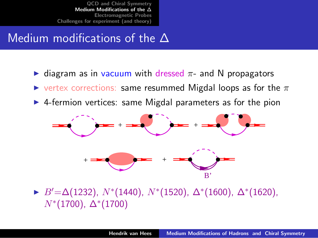## Medium modifications of the ∆

- $\triangleright$  diagram as in vacuum with dressed  $\pi$  and N propagators
- $\triangleright$  vertex corrections: same resummed Migdal loops as for the  $\pi$
- $\triangleright$  4-fermion vertices: same Migdal parameters as for the pion



►  $B'=\Delta(1232)$ ,  $N^*(1440)$ ,  $N^*(1520)$ ,  $\Delta^*(1600)$ ,  $\Delta^*(1620)$ ,  $N^*(1700)$ ,  $\Delta^*(1700)$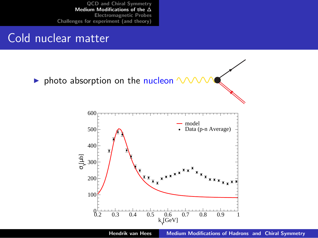#### Cold nuclear matter

 $\triangleright$  photo absorption on the nucleon  $\sim$ 



Hendrik van Hees [Medium Modifications of Hadrons and Chiral Symmetry](#page-0-0)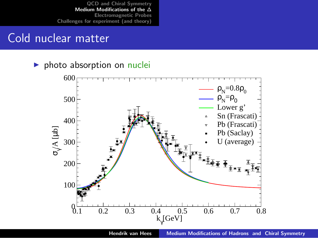#### Cold nuclear matter

 $\blacktriangleright$  photo absorption on nuclei



Hendrik van Hees [Medium Modifications of Hadrons and Chiral Symmetry](#page-0-0)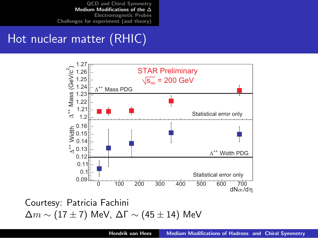### Hot nuclear matter (RHIC)



Courtesy: Patricia Fachini  $\Delta m \sim (17 \pm 7)$  MeV,  $\Delta \Gamma \sim (45 \pm 14)$  MeV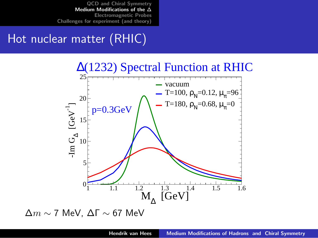## Hot nuclear matter (RHIC)



 $\Delta m \sim$  7 MeV,  $\Delta \Gamma \sim$  67 MeV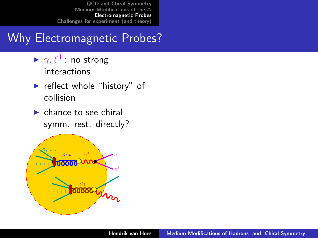## Why Electromagnetic Probes?

- $\blacktriangleright \gamma, \ell^{\pm}$  no strong interactions
- $\blacktriangleright$  reflect whole "history" of collision
- <span id="page-17-0"></span> $\blacktriangleright$  chance to see chiral symm. rest. directly?

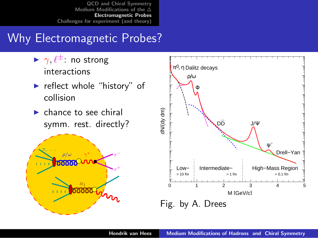## Why Electromagnetic Probes?

- $\blacktriangleright \gamma, \ell^{\pm}$  no strong interactions
- $\blacktriangleright$  reflect whole "history" of collision
- $\blacktriangleright$  chance to see chiral symm. rest. directly?



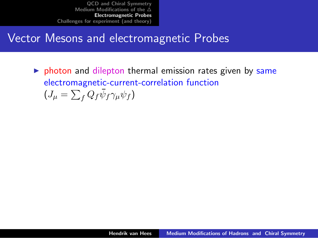### Vector Mesons and electromagnetic Probes

 $\triangleright$  photon and dilepton thermal emission rates given by same electromagnetic-current-correlation function  $(J_\mu = \sum_f Q_f \bar{\psi}_f \gamma_\mu \psi_f)$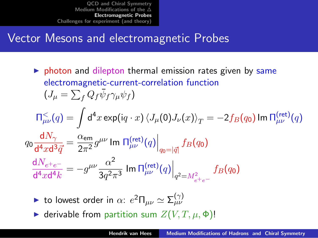## Vector Mesons and electromagnetic Probes

- $\triangleright$  photon and dilepton thermal emission rates given by same electromagnetic-current-correlation function  $(J_\mu = \sum_f Q_f \bar{\psi}_f \gamma_\mu \psi_f)$  $\Pi_{\mu\nu}^<(q)=\int\mathsf{d}^4x\exp(\mathrm{i} q\cdot x)\left\langle J_\mu(0)J_\nu(x)\right\rangle_T=-2f_B(q_0)\mathsf{\,Im}\,\Pi_{\mu\nu}^{\rm (ret)}(q)$  $q_0 \frac{dN_{\gamma}}{d4 \pi d^3}$  $\frac{\mathsf{d} N_\gamma}{\mathsf{d}^4 x \mathsf{d}^3 \vec{q}} = \frac{\alpha_{\mathsf{em}}}{2\pi^2}$  $\frac{\alpha_{\mathsf{em}}}{2\pi^2} g^{\mu\nu}$  lm Π $_{\mu\nu}^{(\text{ret})}(q)\Big|_{q_0=|\vec{q}|} f_B(q_0)$ d $N_{e^+e^-}$  $\frac{\mathsf{d} N_{e^+e^-}}{\mathsf{d}^4x\mathsf{d}^4k} = -g^{\mu\nu}\frac{\alpha^2}{3q^2\tau}$  $\frac{\alpha^2}{3 q^2 \pi^3} \, \, {\sf Im} \, \Pi^{(\rm ret)}_{\mu\nu} (q) \Big|_{q^2 = M_{e^+e^-}^2}$  $f_B(q_0)$ 
	- ightharpoonup to lowest order in  $\alpha$ :  $e^2 \Pi_{\mu\nu} \simeq \Sigma_{\mu\nu}^{(\gamma)}$
	- derivable from partition sum  $Z(V, T, \mu, \Phi)$ !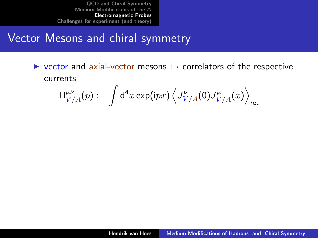#### Vector Mesons and chiral symmetry

 $\triangleright$  vector and axial-vector mesons  $\leftrightarrow$  correlators of the respective currents

$$
\Pi^{\mu\nu}_{V/A}(p):=\int\mathsf{d}^4x\exp(\mathrm{i} p x)\left\langle J^{\nu}_{V/A}(\mathbf{0})J^{\mu}_{V/A}(x)\right\rangle_{\mathsf{ret}}
$$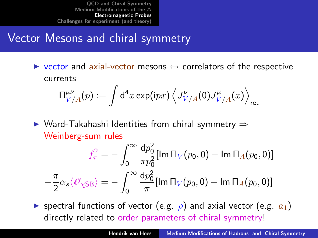## Vector Mesons and chiral symmetry

 $\triangleright$  vector and axial-vector mesons  $\leftrightarrow$  correlators of the respective currents

$$
\Pi^{\mu\nu}_{V/A}(p):=\int\mathsf{d}^4x\exp(\mathrm{i} p x)\left\langle J^{\nu}_{V/A}(\mathbf{0})J^{\mu}_{V/A}(x)\right\rangle_{\mathsf{ret}}
$$

 $\triangleright$  Ward-Takahashi Identities from chiral symmetry  $\Rightarrow$ Weinberg-sum rules

$$
f_{\pi}^2 = -\int_0^{\infty} \frac{\mathrm{d}p_0^2}{\pi p_0^2} [\text{Im }\Pi_V(p_0, 0) - \text{Im }\Pi_A(p_0, 0)]
$$

$$
-\frac{\pi}{2} \alpha_s \langle \mathcal{O}_{\chi \text{SB}} \rangle = -\int_0^{\infty} \frac{\mathrm{d}p_0^2}{\pi} [\text{Im }\Pi_V(p_0, 0) - \text{Im }\Pi_A(p_0, 0)]
$$

**If** spectral functions of vector (e.g.  $\rho$ ) and axial vector (e.g.  $a_1$ ) directly related to order parameters of chiral symmetry!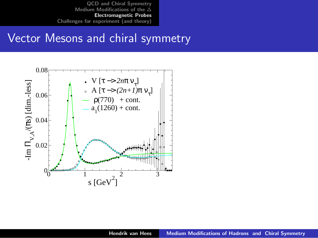#### Vector Mesons and chiral symmetry

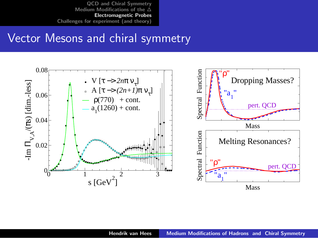#### Vector Mesons and chiral symmetry

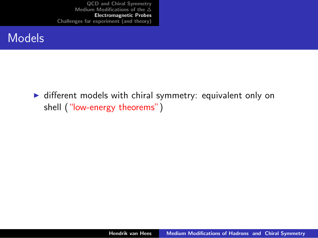#### Models

 $\blacktriangleright$  different models with chiral symmetry: equivalent only on shell ("low-energy theorems")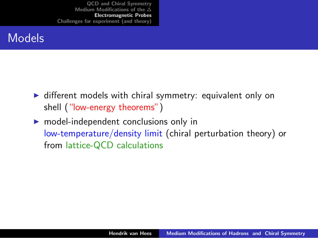- $\triangleright$  different models with chiral symmetry: equivalent only on shell ("low-energy theorems")
- $\triangleright$  model-independent conclusions only in low-temperature/density limit (chiral perturbation theory) or from lattice-QCD calculations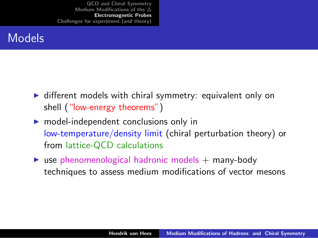- $\triangleright$  different models with chiral symmetry: equivalent only on shell ("low-energy theorems")
- $\triangleright$  model-independent conclusions only in low-temperature/density limit (chiral perturbation theory) or from lattice-QCD calculations
- $\triangleright$  use phenomenological hadronic models  $+$  many-body techniques to assess medium modifications of vector mesons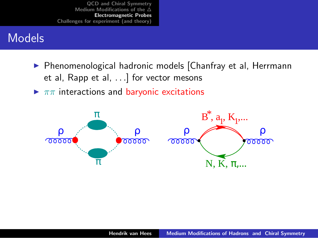- ▶ Phenomenological hadronic models [Chanfray et al, Herrmann et al, Rapp et al, ...] for vector mesons
- $\blacktriangleright \pi\pi$  interactions and baryonic excitations

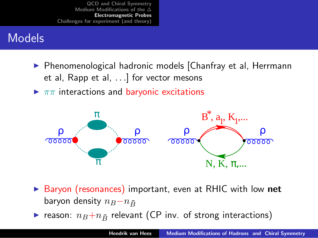- ▶ Phenomenological hadronic models [Chanfray et al, Herrmann et al, Rapp et al, ...] for vector mesons
- $\blacktriangleright \pi\pi$  interactions and baryonic excitations



- ▶ Baryon (resonances) important, even at RHIC with low net baryon density  $n_B-n_{\bar{B}}$
- reason:  $n_B+n_{\bar{B}}$  relevant (CP inv. of strong interactions)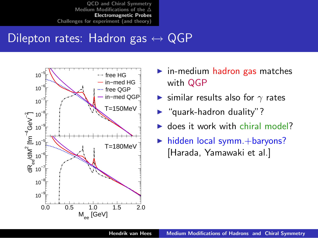### Dilepton rates: Hadron gas  $\leftrightarrow$  QGP



- $\blacktriangleright$  in-medium hadron gas matches with QGP
- $\triangleright$  similar results also for  $\gamma$  rates
- $\blacktriangleright$  "quark-hadron duality"?
- $\blacktriangleright$  does it work with chiral model?
- $\blacktriangleright$  hidden local symm. + baryons? [Harada, Yamawaki et al.]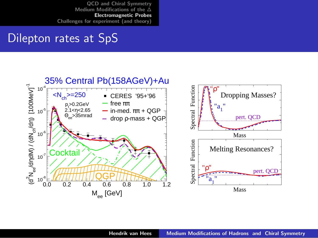#### Dilepton rates at SpS

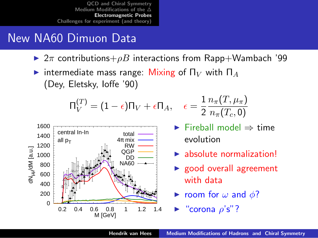### New NA60 Dimuon Data

- $\triangleright$  2 $\pi$  contributions+ $\rho B$  interactions from Rapp+Wambach '99
- intermediate mass range: Mixing of  $\Pi_V$  with  $\Pi_A$ (Dey, Eletsky, Ioffe '90)

$$
\Pi_V^{(T)} = (1 - \epsilon)\Pi_V + \epsilon \Pi_A, \quad \epsilon = \frac{1}{2} \frac{n_\pi(T, \mu_\pi)}{n_\pi(T_c, 0)}
$$



$$
\triangleright \text{ Fireball model} \Rightarrow \text{time} \\ \text{evolution}
$$

- $\blacktriangleright$  absolute normalization!
- $\blacktriangleright$  good overall agreement with data
- room for  $\omega$  and  $\phi$ ?
- "corona  $\rho$ 's"?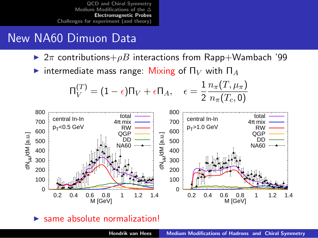#### New NA60 Dimuon Data

- $\triangleright$  2 $\pi$  contributions+ $\rho B$  interactions from Rapp+Wambach '99
- intermediate mass range: Mixing of  $\Pi_V$  with  $\Pi_A$

$$
\Pi_V^{(T)} = (1 - \epsilon)\Pi_V + \epsilon \Pi_A, \quad \epsilon = \frac{1}{2} \frac{n_\pi(T, \mu_\pi)}{n_\pi(T_c, 0)}
$$



#### same absolute normalization!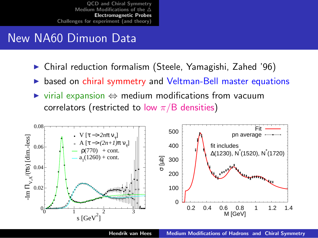## New NA60 Dimuon Data

- Chiral reduction formalism (Steele, Yamagishi, Zahed '96)
- based on chiral symmetry and Veltman-Bell master equations
- $\triangleright$  virial expansion  $\Leftrightarrow$  medium modifications from vacuum correlators (restricted to low  $\pi/B$  densities)



Hendrik van Hees [Medium Modifications of Hadrons and Chiral Symmetry](#page-0-0)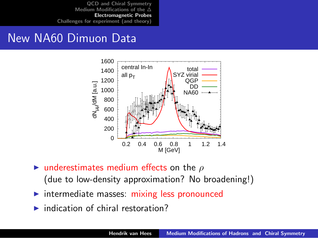#### New NA60 Dimuon Data



- **In** underestimates medium effects on the  $\rho$ (due to low-density approximation? No broadening!)
- $\triangleright$  intermediate masses: mixing less pronounced
- $\blacktriangleright$  indication of chiral restoration?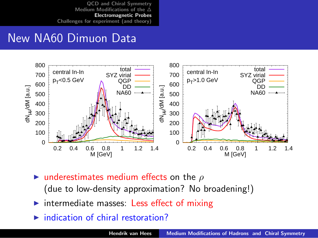#### New NA60 Dimuon Data



- $\triangleright$  underestimates medium effects on the  $\rho$ (due to low-density approximation? No broadening!)
- intermediate masses: Less effect of mixing
- $\blacktriangleright$  indication of chiral restoration?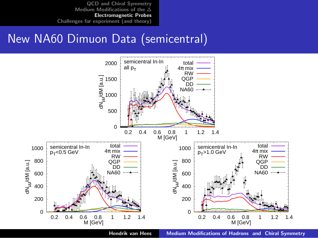#### New NA60 Dimuon Data (semicentral)



Hendrik van Hees [Medium Modifications of Hadrons and Chiral Symmetry](#page-0-0)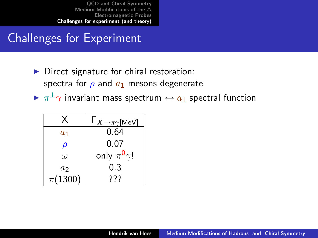## Challenges for Experiment

- $\triangleright$  Direct signature for chiral restoration: spectra for  $\rho$  and  $a_1$  mesons degenerate
- $\blacktriangleright \ \pi^\pm\gamma$  invariant mass spectrum  $\leftrightarrow a_1$  spectral function

<span id="page-38-0"></span>

|                     | $\mathsf{I}_{X\to\pi\gamma}$ [MeV] |
|---------------------|------------------------------------|
| $a_1$               | 0.64                               |
| $\boldsymbol{\rho}$ | 0.07                               |
| $\omega$            | only $\pi^0 \gamma!$               |
| a <sub>2</sub>      | 0.3                                |
| $\pi(1300)$         | 777                                |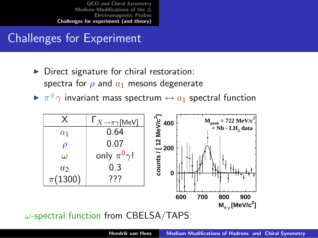## Challenges for Experiment

- Direct signature for chiral restoration: spectra for  $\rho$  and  $a_1$  mesons degenerate
- $\blacktriangleright \ \pi^\pm\gamma$  invariant mass spectrum  $\leftrightarrow a_1$  spectral function



 $\omega$ -spectral function from CBELSA/TAPS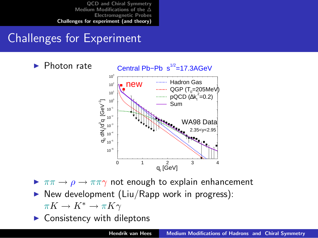## Challenges for Experiment



- $\triangleright \pi\pi \rightarrow \rho \rightarrow \pi\pi\gamma$  not enough to explain enhancement
- New development  $(Liu/Rapp)$  work in progress):

$$
\pi K \to K^* \to \pi K \gamma
$$

Consistency with dileptons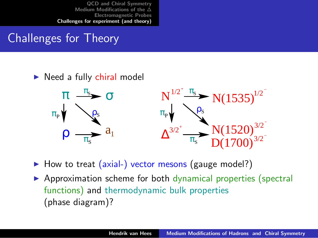## Challenges for Theory

#### $\triangleright$  Need a fully chiral model



How to treat (axial-) vector mesons (gauge model?)

 $\triangleright$  Approximation scheme for both dynamical properties (spectral functions) and thermodynamic bulk properties (phase diagram)?